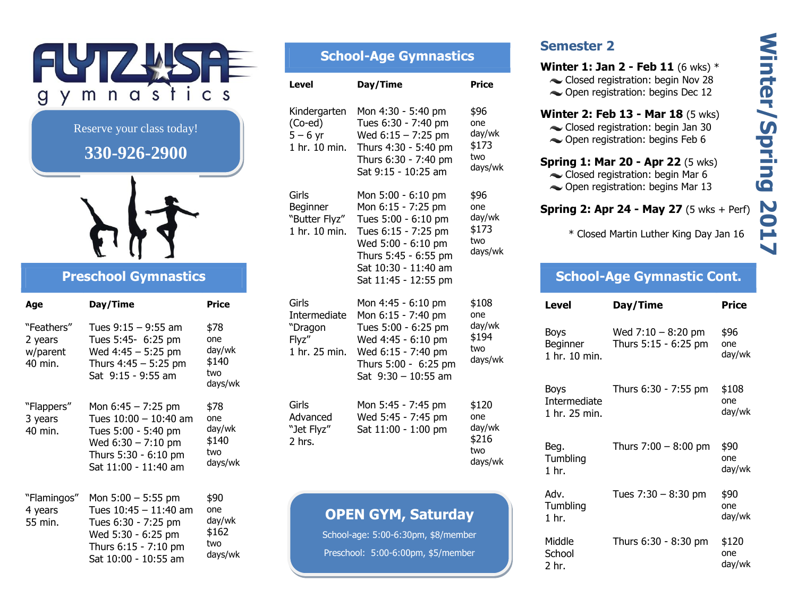

Reserve your class today!

# 330-926-2900



## **Preschool Gymnastics**

| Age                                          | Day/Time                                                                                                                                     | <b>Price</b>                                     |
|----------------------------------------------|----------------------------------------------------------------------------------------------------------------------------------------------|--------------------------------------------------|
| "Feathers"<br>2 years<br>w/parent<br>40 min. | Tues $9:15 - 9:55$ am<br>Tues 5:45- 6:25 pm<br>Wed $4:45 - 5:25$ pm<br>Thurs $4:45 - 5:25$ pm<br>Sat 9:15 - 9:55 am                          | \$78<br>one<br>day/wk<br>\$140<br>two<br>days/wk |
| "Flappers"<br>3 years<br>40 min.             | Mon $6:45 - 7:25$ pm<br>Tues $10:00 - 10:40$ am<br>Tues 5:00 - 5:40 pm<br>Wed 6:30 - 7:10 pm<br>Thurs 5:30 - 6:10 pm<br>Sat 11:00 - 11:40 am | \$78<br>one<br>day/wk<br>\$140<br>two<br>days/wk |
| "Flamingos"<br>4 years<br>55 min.            | Mon $5:00 - 5:55$ pm<br>Tues 10:45 - 11:40 am<br>Tues 6:30 - 7:25 pm<br>Wed 5:30 - 6:25 pm<br>Thurs 6:15 - 7:10 pm<br>Sat 10:00 - 10:55 am   | \$90<br>one<br>day/wk<br>\$162<br>two<br>days/wk |

# **School-Age Gymnastics**

| <b>Level</b>                                               | Day/Time                                                                                                                                                                             | Price                                             |
|------------------------------------------------------------|--------------------------------------------------------------------------------------------------------------------------------------------------------------------------------------|---------------------------------------------------|
| Kindergarten<br>(Co-ed)<br>$5 - 6$ yr<br>1 hr. 10 min.     | Mon 4:30 - 5:40 pm<br>Tues 6:30 - 7:40 pm<br>Wed 6:15 - 7:25 pm<br>Thurs 4:30 - 5:40 pm<br>Thurs 6:30 - 7:40 pm<br>Sat 9:15 - 10:25 am                                               | \$96<br>one<br>day/wk<br>\$173<br>two<br>days/wk  |
| Girls<br>Beginner<br>"Butter Flyz"<br>1 hr. 10 min.        | Mon 5:00 - 6:10 pm<br>Mon 6:15 - 7:25 pm<br>Tues 5:00 - 6:10 pm<br>Tues 6:15 - 7:25 pm<br>Wed 5:00 - 6:10 pm<br>Thurs 5:45 - 6:55 pm<br>Sat 10:30 - 11:40 am<br>Sat 11:45 - 12:55 pm | \$96<br>one<br>day/wk<br>\$173<br>two<br>days/wk  |
| Girls<br>Intermediate<br>"Dragon<br>Flyz"<br>1 hr. 25 min. | Mon 4:45 - 6:10 pm<br>Mon 6:15 - 7:40 pm<br>Tues 5:00 - 6:25 pm<br>Wed 4:45 - 6:10 pm<br>Wed 6:15 - 7:40 pm<br>Thurs 5:00 - 6:25 pm<br>Sat 9:30 - 10:55 am                           | \$108<br>one<br>day/wk<br>\$194<br>two<br>days/wk |
| Girls<br>Advanced<br>"Jet Flyz"<br>2 hrs.                  | Mon 5:45 - 7:45 pm<br>Wed 5:45 - 7:45 pm<br>Sat 11:00 - 1:00 pm                                                                                                                      | \$120<br>one<br>day/wk<br>\$216<br>two<br>days/wk |
|                                                            |                                                                                                                                                                                      |                                                   |

### **OPEN GYM, Saturday**

School-age: 5:00-6:30pm, \$8/member Preschool: 5:00-6:00pm, \$5/member

### **Semester 2**

**Winter 1: Jan 2 - Feb 11** (6 wks)  $*$ 

- Closed registration: begin Nov 28
- Open registration: begins Dec 12

#### **Winter 2: Feb 13 - Mar 18 (5 wks)**

- Closed registration: begin Jan 30
- Open registration: begins Feb 6

#### **Spring 1: Mar 20 - Apr 22 (5 wks)**

- Closed registration: begin Mar 6
- **← Open registration: begins Mar 13**

#### **Spring 2: Apr 24 - May 27**  $(5 \text{ wks} + \text{Perf})$

\* Closed Martin Luther King Day Jan 16

### **School-Age Gymnastic Cont.**

| Level                                        | Day/Time                                     | Price                  |
|----------------------------------------------|----------------------------------------------|------------------------|
| Boys<br>Beginner<br>1 hr. 10 min.            | Wed $7:10 - 8:20$ pm<br>Thurs 5:15 - 6:25 pm | \$96<br>one<br>day/wk  |
| Boys<br><b>Intermediate</b><br>1 hr. 25 min. | Thurs 6:30 - 7:55 pm                         | \$108<br>one<br>day/wk |
| Beg.<br>Tumbling<br>1 <sub>hr.</sub>         | Thurs $7:00 - 8:00$ pm                       | \$90<br>one<br>day/wk  |
| Adv.<br>Tumbling<br>$1$ hr.                  | Tues $7:30 - 8:30$ pm                        | \$90<br>one<br>day/wk  |
| Middle<br>School<br>2 hr.                    | Thurs 6:30 - 8:30 pm                         | \$120<br>one<br>day/wk |